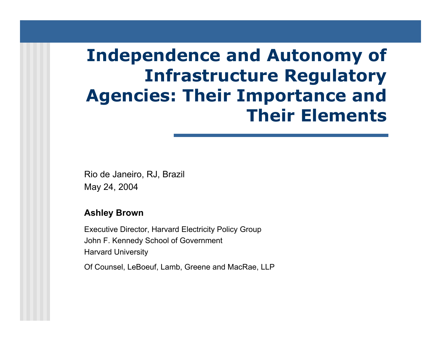# **Independence and Autonomy of Infrastructure Regulatory Agencies: Their Importance and Their Elements**

Rio de Janeiro, RJ, Brazil May 24, 2004

#### **Ashley Brown**

Executi ve Director, Harvard Electricity Policy Group John F. Kennedy School of Governm ent Harvard University

Of Counsel, LeBoeuf, Lamb, Greene and MacRae, LLP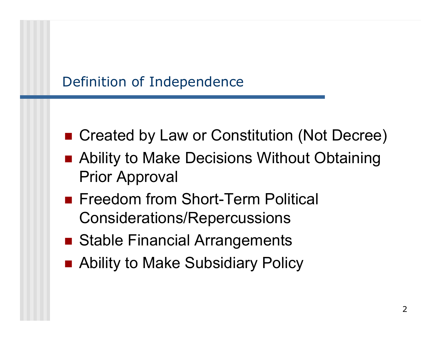### Definition of Independence

- Created by Law or Constitution (Not Decree)
- Ability to Make Decisions Without Obtaining Prior Approval
- **Freedom from Short-Term Political** Considerations/Repercussions
- Stable Financial Arrangements
- Ability to Make Subsidiary Policy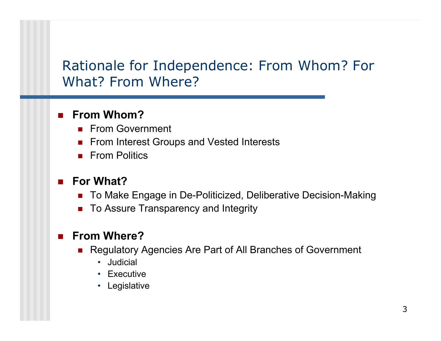#### Rationale for Independence: F rom Whom? For What? From Where?

#### $\overline{\phantom{a}}$ **From Whom?**

- × From Government
- **From Interest Groups and Vested Interests**
- From Politics

#### $\mathcal{L}_{\mathcal{A}}$ **For What?**

- $\mathcal{L}_{\rm{max}}$ To Make Engage in De-Politicized, Deliberative Decision-Making
- × To Assure Transparency and Integrity

#### T. **From Where?**

- Regulatory Agencies Are Part of All Branches of Government
	- •Judicial
	- Executive
	- Legislative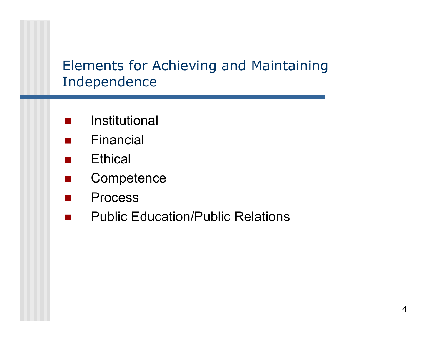#### Elements for Achieving and Maintaining Independence

- $\mathcal{L}^{\mathcal{A}}$ Institutional
- $\overline{\phantom{a}}$ Financial
- $\mathcal{L}_{\rm{max}}$ **Ethical**
- $\mathcal{L}^{\mathcal{L}}$ **Competence**
- $\mathcal{L}^{\text{max}}$ Process
- $\mathcal{L}_{\text{max}}$ Public Education/Public Relations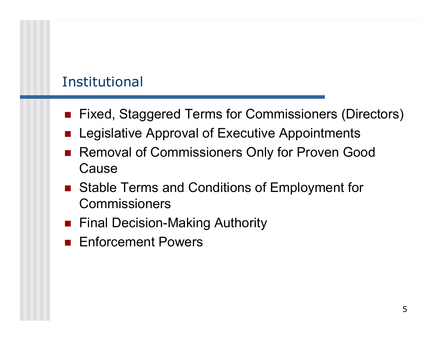### Institutional

- Fixed, Staggered Terms for Commissioners (Directors)
- **E** Legislative Approval of Executive Appointments
- $\overline{\phantom{a}}$  Removal of Commissioners Only for Proven Good Cause
- Stable Terms and Conditions of Employment for Commissioners
- Final Decision-Making Authority
- **Enforcement Powers**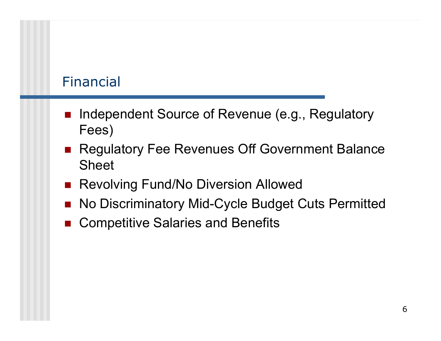#### Financial

- $\overline{\phantom{a}}$  Independent Source of Revenue (e.g., Regulatory Fees)
- Regulatory Fee Revenues Off Government Balance Sheet
- **Revolving Fund/No Diversion Allowed**
- F. No Discriminatory Mid-Cycle Budget Cuts Permitted
- F. Competitive Salaries and Benefits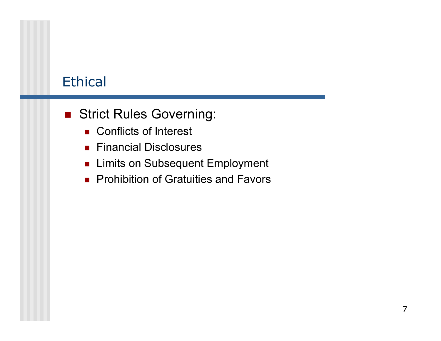### **Ethical**

- **Strict Rules Governing:** 
	- Conflicts of Interest
	- Financial Disclosures
	- Limits on Subsequent Employment
	- **Prohibition of Gratuities and Favors**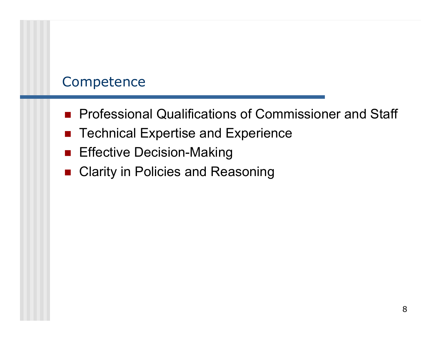#### **Competence**

- **Professional Qualifications of Commissioner and Staff**
- Technical Expertise and Experience
- **Effective Decision-Making**
- Clarity in Policies and Reasoning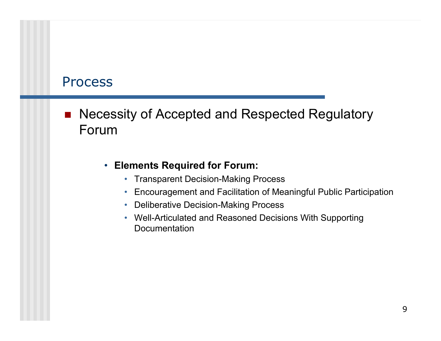#### **Process**

 $\overline{\phantom{a}}$  Necessity of Accepted and Respected Regulatory Forum

#### $\bullet$ **Elements Required for Forum:**

- Transparent Decision-Making Process
- Encouragement and Facilitation of Meaningful Public Participation
- Deliberative Decision-Making Process
- $\bullet$  Well-Articulated and Reasoned Decisions With Supporting Documentation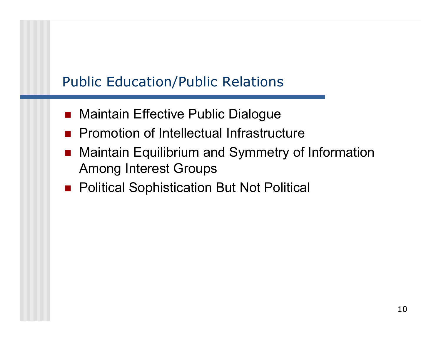## Public Education/Public Relations

- $\overline{\phantom{a}}$ Maintain Effective Public Dialogue
- **Promotion of Intellectual Infrastructure**
- $\overline{\phantom{a}}$  Maintain Equilibrium and Symmetry of Information Among Interest Groups
- Political Sophistication But Not Political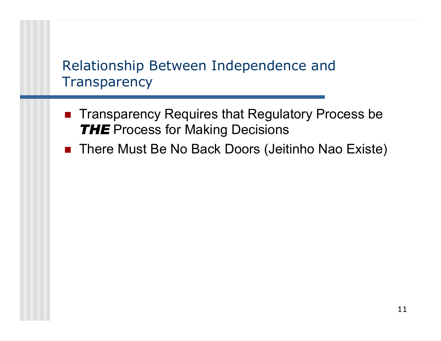### Relationship Between Independence and **Transparency**

- Transparency Requires that Regulatory Process be *THE* Process for Making Decisions
- There Must Be No Back Doors (Jeitinho Nao Existe)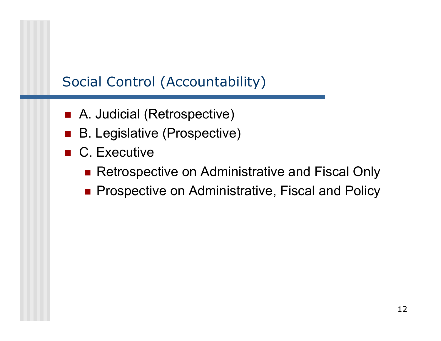# Social Control (Accountability)

- A. Judicial (Retrospective)
- B. Legislative (Prospective)
- C. Executive
	- Retrospective on Administrative and Fiscal Only
	- **Prospective on Administrative, Fiscal and Policy**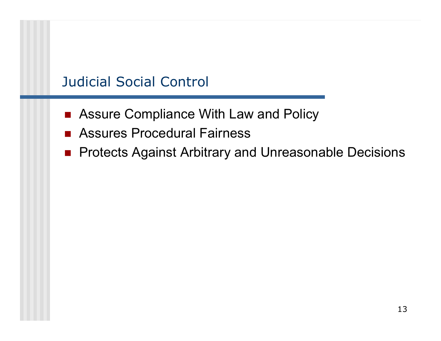### Judicial Social Control

- Assure Compliance With Law and Policy
- Assures Procedural Fairness
- **Protects Against Arbitrary and Unreasonable Decisions**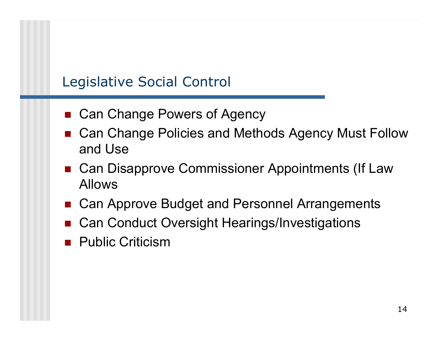### Legislative Social Control

- Can Change Powers of Agency
- Can Change Policies and Methods Agency Must Follow and Use
- Can Disapprove Commissioner Appointments (If Law Allows
- Can Approve Budget and Personnel Arrangements
- Can Conduct Oversight Hearings/Investigations
- **Public Criticism**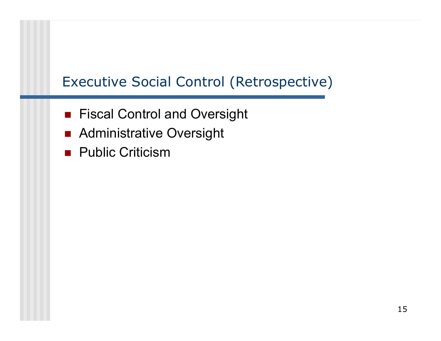# Executive Social Control (Retrospective)

- **Fiscal Control and Oversight**
- **Administrative Oversight**
- **Public Criticism**